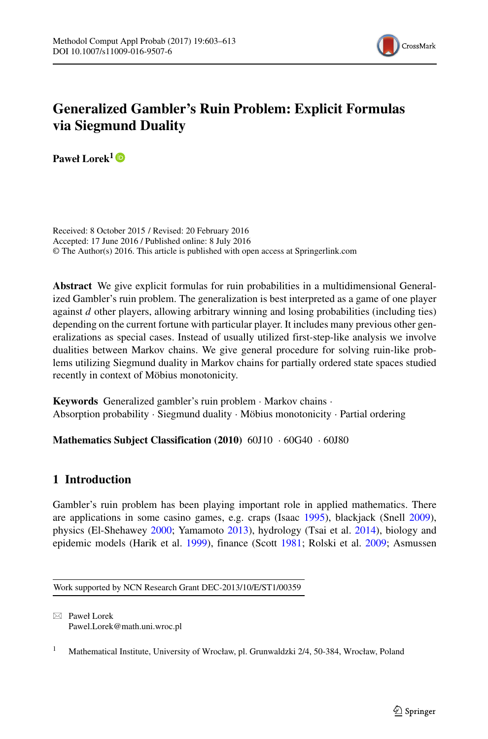

# **Generalized Gambler's Ruin Problem: Explicit Formulas via Siegmund Duality**

Paweł Lorek<sup>1</sup><sup>D</sup>

Received: 8 October 2015 / Revised: 20 February 2016 Accepted: 17 June 2016 / Published online: 8 July 2016 © The Author(s) 2016. This article is published with open access at Springerlink.com

**Abstract** We give explicit formulas for ruin probabilities in a multidimensional Generalized Gambler's ruin problem. The generalization is best interpreted as a game of one player against *d* other players, allowing arbitrary winning and losing probabilities (including ties) depending on the current fortune with particular player. It includes many previous other generalizations as special cases. Instead of usually utilized first-step-like analysis we involve dualities between Markov chains. We give general procedure for solving ruin-like problems utilizing Siegmund duality in Markov chains for partially ordered state spaces studied recently in context of Möbius monotonicity.

**Keywords** Generalized gambler's ruin problem · Markov chains · Absorption probability · Siegmund duality · Möbius monotonicity · Partial ordering

**Mathematics Subject Classification (2010)** 60J10 · 60G40 · 60J80

# **1 Introduction**

Gambler's ruin problem has been playing important role in applied mathematics. There are applications in some casino games, e.g. craps (Isaac [1995\)](#page-10-0), blackjack (Snell [2009\)](#page-10-1), physics (El-Shehawey [2000;](#page-9-0) Yamamoto [2013\)](#page-10-2), hydrology (Tsai et al. [2014\)](#page-10-3), biology and epidemic models (Harik et al. [1999\)](#page-9-1), finance (Scott [1981;](#page-10-4) Rolski et al. [2009;](#page-10-5) Asmussen

Work supported by NCN Research Grant DEC-2013/10/E/ST1/00359

- Paweł Lorek [Pawel.Lorek@math.uni.wroc.pl](mailto:Pawel.Lorek@math.uni.wroc.pl)

<sup>1</sup> Mathematical Institute, University of Wrocław, pl. Grunwaldzki 2/4, 50-384, Wrocław, Poland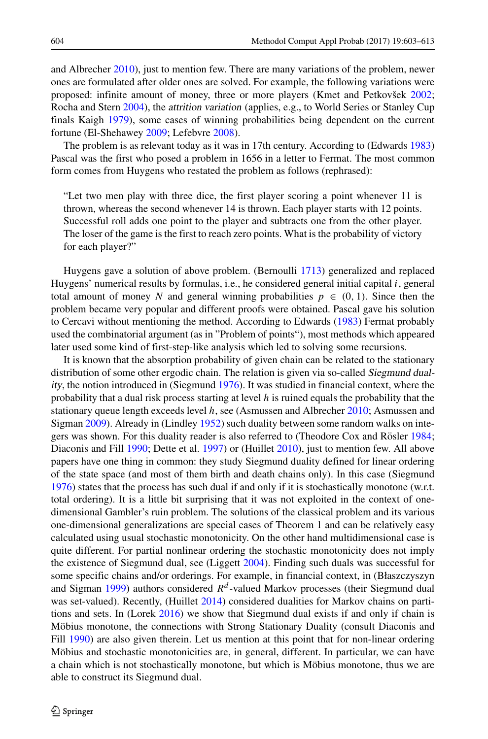and Albrecher [2010\)](#page-9-2), just to mention few. There are many variations of the problem, newer ones are formulated after older ones are solved. For example, the following variations were proposed: infinite amount of money, three or more players (Kmet and Petkovšek [2002;](#page-10-6) Rocha and Stern [2004\)](#page-10-7), the attrition variation (applies, e.g., to World Series or Stanley Cup finals Kaigh [1979\)](#page-10-8), some cases of winning probabilities being dependent on the current fortune (El-Shehawey [2009;](#page-9-3) Lefebvre [2008\)](#page-10-9).

The problem is as relevant today as it was in 17th century. According to (Edwards [1983\)](#page-9-4) Pascal was the first who posed a problem in 1656 in a letter to Fermat. The most common form comes from Huygens who restated the problem as follows (rephrased):

"Let two men play with three dice, the first player scoring a point whenever 11 is thrown, whereas the second whenever 14 is thrown. Each player starts with 12 points. Successful roll adds one point to the player and subtracts one from the other player. The loser of the game is the first to reach zero points. What is the probability of victory for each player?"

Huygens gave a solution of above problem. (Bernoulli [1713\)](#page-9-5) generalized and replaced Huygens' numerical results by formulas, i.e., he considered general initial capital *i*, general total amount of money *N* and general winning probabilities  $p \in (0, 1)$ . Since then the problem became very popular and different proofs were obtained. Pascal gave his solution to Cercavi without mentioning the method. According to Edwards [\(1983\)](#page-9-4) Fermat probably used the combinatorial argument (as in "Problem of points"), most methods which appeared later used some kind of first-step-like analysis which led to solving some recursions.

It is known that the absorption probability of given chain can be related to the stationary distribution of some other ergodic chain. The relation is given via so-called Siegmund duality, the notion introduced in (Siegmund [1976\)](#page-10-10). It was studied in financial context, where the probability that a dual risk process starting at level *h* is ruined equals the probability that the stationary queue length exceeds level *h*, see (Asmussen and Albrecher [2010;](#page-9-2) Asmussen and Sigman [2009\)](#page-9-6). Already in (Lindley [1952\)](#page-10-11) such duality between some random walks on inte-gers was shown. For this duality reader is also referred to (Theodore Cox and Rösler [1984;](#page-10-12) Diaconis and Fill [1990;](#page-9-7) Dette et al. [1997\)](#page-9-8) or (Huillet [2010\)](#page-9-9), just to mention few. All above papers have one thing in common: they study Siegmund duality defined for linear ordering of the state space (and most of them birth and death chains only). In this case (Siegmund [1976\)](#page-10-10) states that the process has such dual if and only if it is stochastically monotone (w.r.t. total ordering). It is a little bit surprising that it was not exploited in the context of onedimensional Gambler's ruin problem. The solutions of the classical problem and its various one-dimensional generalizations are special cases of Theorem 1 and can be relatively easy calculated using usual stochastic monotonicity. On the other hand multidimensional case is quite different. For partial nonlinear ordering the stochastic monotonicity does not imply the existence of Siegmund dual, see (Liggett [2004\)](#page-10-13). Finding such duals was successful for some specific chains and/or orderings. For example, in financial context, in (Błaszczyszyn and Sigman [1999\)](#page-9-10) authors considered *R<sup>d</sup>* -valued Markov processes (their Siegmund dual was set-valued). Recently, (Huillet [2014\)](#page-10-14) considered dualities for Markov chains on partitions and sets. In (Lorek [2016\)](#page-10-15) we show that Siegmund dual exists if and only if chain is Möbius monotone, the connections with Strong Stationary Duality (consult Diaconis and Fill [1990\)](#page-9-7) are also given therein. Let us mention at this point that for non-linear ordering Möbius and stochastic monotonicities are, in general, different. In particular, we can have a chain which is not stochastically monotone, but which is Möbius monotone, thus we are able to construct its Siegmund dual.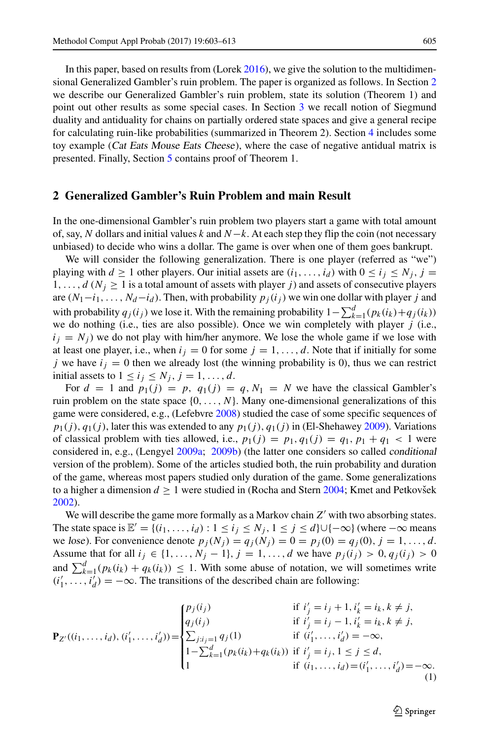In this paper, based on results from (Lorek [2016\)](#page-10-15), we give the solution to the multidimensional Generalized Gambler's ruin problem. The paper is organized as follows. In Section [2](#page-2-0) we describe our Generalized Gambler's ruin problem, state its solution (Theorem 1) and point out other results as some special cases. In Section [3](#page-4-0) we recall notion of Siegmund duality and antiduality for chains on partially ordered state spaces and give a general recipe for calculating ruin-like probabilities (summarized in Theorem 2). Section [4](#page-6-0) includes some toy example (Cat Eats Mouse Eats Cheese), where the case of negative antidual matrix is presented. Finally, Section [5](#page-7-0) contains proof of Theorem 1.

#### <span id="page-2-0"></span>**2 Generalized Gambler's Ruin Problem and main Result**

In the one-dimensional Gambler's ruin problem two players start a game with total amount of, say, *N* dollars and initial values *k* and *N*−*k*. At each step they flip the coin (not necessary unbiased) to decide who wins a dollar. The game is over when one of them goes bankrupt.

We will consider the following generalization. There is one player (referred as "we") playing with *d*  $\geq$  1 other players. Our initial assets are  $(i_1, \ldots, i_d)$  with  $0 \leq i_j \leq N_j$ ,  $j =$  $1, \ldots, d$  ( $N_j \geq 1$  is a total amount of assets with player *j*) and assets of consecutive players are  $(N_1 - i_1, \ldots, N_d - i_d)$ . Then, with probability  $p_j(i_j)$  we win one dollar with player *j* and with probability  $q_j(i_j)$  we lose it. With the remaining probability  $1 - \sum_{k=1}^{d} (p_k(i_k) + q_j(i_k))$ we do nothing (i.e., ties are also possible). Once we win completely with player *j* (i.e.,  $i_j = N_j$  we do not play with him/her anymore. We lose the whole game if we lose with at least one player, i.e., when  $i_j = 0$  for some  $j = 1, \ldots, d$ . Note that if initially for some *j* we have  $i_j = 0$  then we already lost (the winning probability is 0), thus we can restrict initial assets to  $1 \le i_j \le N_j$ ,  $j = 1, \ldots, d$ .

For  $d = 1$  and  $p_1(j) = p$ ,  $q_1(j) = q$ ,  $N_1 = N$  we have the classical Gambler's ruin problem on the state space  $\{0, \ldots, N\}$ . Many one-dimensional generalizations of this game were considered, e.g., (Lefebvre [2008\)](#page-10-9) studied the case of some specific sequences of  $p_1(j)$ ,  $q_1(j)$ , later this was extended to any  $p_1(j)$ ,  $q_1(j)$  in (El-Shehawey [2009\)](#page-9-3). Variations of classical problem with ties allowed, i.e.,  $p_1(j) = p_1, q_1(j) = q_1, p_1 + q_1 < 1$  were considered in, e.g., (Lengyel [2009a;](#page-10-16) [2009b\)](#page-10-17) (the latter one considers so called conditional version of the problem). Some of the articles studied both, the ruin probability and duration of the game, whereas most papers studied only duration of the game. Some generalizations to a higher a dimension  $d \geq 1$  were studied in (Rocha and Stern [2004;](#page-10-7) Kmet and Petkovsek [2002\)](#page-10-6).

We will describe the game more formally as a Markov chain  $Z'$  with two absorbing states. The state space is  $\mathbb{E}' = \{(i_1, \ldots, i_d) : 1 \le i_j \le N_j, 1 \le j \le d\} \cup \{-\infty\}$  (where  $-\infty$  means we lose). For convenience denote  $p_j(N_j) = q_j(N_j) = 0 = p_j(0) = q_j(0), j = 1, ..., d$ . Assume that for all  $i_j \in \{1, ..., N_j - 1\}$ ,  $j = 1, ..., d$  we have  $p_j(i_j) > 0$ ,  $q_j(i_j) > 0$ and  $\sum_{k=1}^{d} (p_k(i_k) + q_k(i_k)) \leq 1$ . With some abuse of notation, we will sometimes write  $(i'_1, \ldots, i'_d) = -\infty$ . The transitions of the described chain are following:

<span id="page-2-1"></span>
$$
\mathbf{P}_{Z'}((i_1,\ldots,i_d),(i'_1,\ldots,i'_d)) = \begin{cases} p_j(i_j) & \text{if } i'_j = i_j + 1, i'_k = i_k, k \neq j, \\ q_j(i_j) & \text{if } i'_j = i_j - 1, i'_k = i_k, k \neq j, \\ \sum_{j:i_j=1} q_j(1) & \text{if } (i'_1,\ldots,i'_d) = -\infty, \\ 1 - \sum_{k=1}^d (p_k(i_k) + q_k(i_k)) & \text{if } i'_j = i_j, 1 \leq j \leq d, \\ 1 & \text{if } (i_1,\ldots,i_d) = (i'_1,\ldots,i'_d) = -\infty. \end{cases}
$$
 (1)

 $\mathcal{D}$  Springer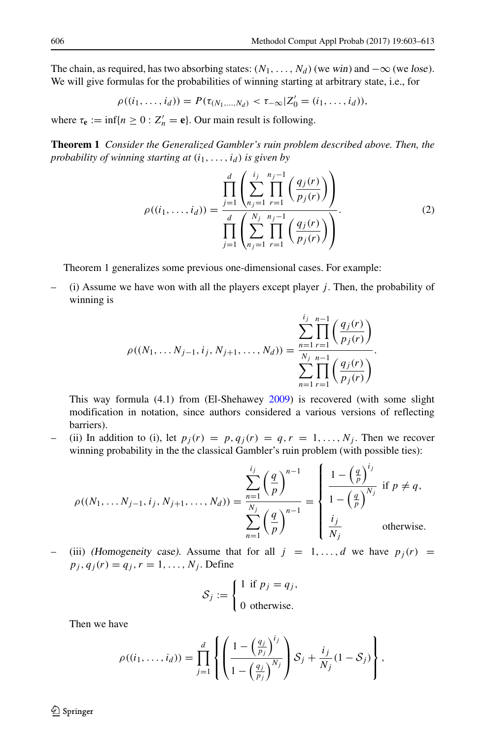The chain, as required, has two absorbing states:  $(N_1, \ldots, N_d)$  (we win) and  $-\infty$  (we lose). We will give formulas for the probabilities of winning starting at arbitrary state, i.e., for

$$
\rho((i_1,\ldots,i_d))=P(\tau_{(N_1,\ldots,N_d)}<\tau_{-\infty}|Z'_0=(i_1,\ldots,i_d)),
$$

where  $\tau_e := \inf\{n \geq 0 : Z'_n = e\}$ . Our main result is following.

**Theorem 1** *Consider the Generalized Gambler's ruin problem described above. Then, the probability of winning starting at*  $(i_1, \ldots, i_d)$  *is given by* 

<span id="page-3-0"></span>
$$
\rho((i_1, ..., i_d)) = \frac{\prod_{j=1}^d \left( \sum_{n_j=1}^{i_j} \prod_{r=1}^{n_j-1} \left( \frac{q_j(r)}{p_j(r)} \right) \right)}{\prod_{j=1}^d \left( \sum_{n_j=1}^{N_j} \prod_{r=1}^{n_j-1} \left( \frac{q_j(r)}{p_j(r)} \right) \right)}.
$$
\n(2)

Theorem 1 generalizes some previous one-dimensional cases. For example:

– (i) Assume we have won with all the players except player *j* . Then, the probability of winning is

$$
\rho((N_1, \ldots N_{j-1}, i_j, N_{j+1}, \ldots, N_d)) = \frac{\sum_{n=1}^{i_j} \prod_{r=1}^{n-1} \left(\frac{q_j(r)}{p_j(r)}\right)}{\sum_{n=1}^{N_j} \prod_{r=1}^{n-1} \left(\frac{q_j(r)}{p_j(r)}\right)}.
$$

This way formula (4.1) from (El-Shehawey [2009\)](#page-9-3) is recovered (with some slight modification in notation, since authors considered a various versions of reflecting barriers).

(ii) In addition to (i), let  $p_j(r) = p, q_j(r) = q, r = 1, \ldots, N_j$ . Then we recover winning probability in the the classical Gambler's ruin problem (with possible ties):

$$
\rho((N_1, \ldots N_{j-1}, i_j, N_{j+1}, \ldots, N_d)) = \frac{\sum_{n=1}^{i_j} \left(\frac{q}{p}\right)^{n-1}}{\sum_{n=1}^{N_j} \left(\frac{q}{p}\right)^{n-1}} = \begin{cases} \frac{1 - \left(\frac{q}{p}\right)^{i_j}}{1 - \left(\frac{q}{p}\right)^{N_j}} & \text{if } p \neq q, \\ \frac{i_j}{N_j} & \text{otherwise.} \end{cases}
$$

(iii) (Homogeneity case). Assume that for all  $j = 1, ..., d$  we have  $p_j(r) =$  $p_j, q_j(r) = q_j, r = 1, \ldots, N_j$ . Define

$$
S_j := \begin{cases} 1 & \text{if } p_j = q_j, \\ 0 & \text{otherwise.} \end{cases}
$$

Then we have

$$
\rho((i_1,\ldots,i_d))=\prod_{j=1}^d\left\{\left(\frac{1-\left(\frac{q_j}{p_j}\right)^{i_j}}{1-\left(\frac{q_j}{p_j}\right)^{N_j}}\right)\mathcal{S}_j+\frac{i_j}{N_j}(1-\mathcal{S}_j)\right\},\,
$$

 $\mathcal{D}$  Springer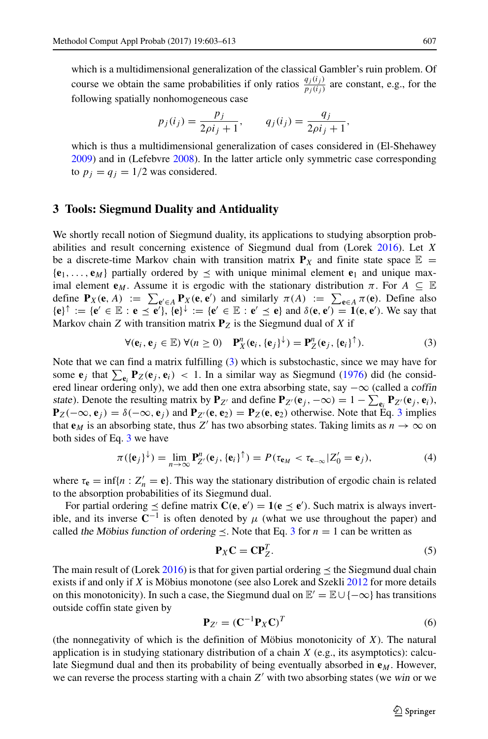which is a multidimensional generalization of the classical Gambler's ruin problem. Of course we obtain the same probabilities if only ratios  $\frac{q_j(i_j)}{p_j(i_j)}$  are constant, e.g., for the following spatially nonhomogeneous case

$$
p_j(i_j) = \frac{p_j}{2\rho i_j + 1}
$$
,  $q_j(i_j) = \frac{q_j}{2\rho i_j + 1}$ ,

which is thus a multidimensional generalization of cases considered in (El-Shehawey [2009\)](#page-9-3) and in (Lefebvre [2008\)](#page-10-9). In the latter article only symmetric case corresponding to  $p_j = q_j = 1/2$  was considered.

#### <span id="page-4-0"></span>**3 Tools: Siegmund Duality and Antiduality**

We shortly recall notion of Siegmund duality, its applications to studying absorption probabilities and result concerning existence of Siegmund dual from (Lorek [2016\)](#page-10-15). Let *X* be a discrete-time Markov chain with transition matrix  $P_X$  and finite state space  $E =$  ${\bf e}_1, \ldots, {\bf e}_M$  partially ordered by  $\leq$  with unique minimal element  ${\bf e}_1$  and unique maximal element  $\mathbf{e}_M$ . Assume it is ergodic with the stationary distribution  $\pi$ . For  $A \subseteq \mathbb{E}$ define  $P_X(\mathbf{e}, A) := \sum_{\mathbf{e}' \in A} P_X(\mathbf{e}, \mathbf{e}')$  and similarly  $\pi(A) := \sum_{\mathbf{e} \in A} \pi(\mathbf{e})$ . Define also  ${\bf e} \uplus \uparrow := {\bf e}' \in \mathbb{E} : {\bf e} \preceq {\bf e}'$ ,  ${\bf e}' \uplus \downarrow := {\bf e}' \in \mathbb{E} : {\bf e}' \preceq {\bf e}$  and  $\delta({\bf e}, {\bf e}') = {\bf 1}({\bf e}, {\bf e}')$ . We say that Markov chain *Z* with transition matrix  $P_Z$  is the Siegmund dual of *X* if

<span id="page-4-1"></span>
$$
\forall (\mathbf{e}_i, \mathbf{e}_j \in \mathbb{E}) \ \forall (n \ge 0) \quad \mathbf{P}_X^n(\mathbf{e}_i, {\{\mathbf{e}_j\}}^\downarrow) = \mathbf{P}_Z^n(\mathbf{e}_j, {\{\mathbf{e}_i\}}^\uparrow). \tag{3}
$$

Note that we can find a matrix fulfilling [\(3\)](#page-4-1) which is substochastic, since we may have for some  $e_j$  that  $\sum_{e_i} P_Z(e_j, e_i)$  < 1. In a similar way as Siegmund [\(1976\)](#page-10-10) did (he considered linear ordering only), we add then one extra absorbing state, say  $-\infty$  (called a coffin state). Denote the resulting matrix by  $P_{Z'}$  and define  $P_{Z'}(e_j, -\infty) = 1 - \sum_{e_i} P_{Z'}(e_j, e_i)$ ,  ${\bf P}_Z(-\infty, {\bf e}_i) = \delta(-\infty, {\bf e}_i)$  and  ${\bf P}_{Z'}({\bf e}, {\bf e}_2) = {\bf P}_Z({\bf e}, {\bf e}_2)$  otherwise. Note that Eq. [3](#page-4-1) implies that **e**<sub>*M*</sub> is an absorbing state, thus *Z'* has two absorbing states. Taking limits as  $n \to \infty$  on both sides of Eq. [3](#page-4-1) we have

<span id="page-4-3"></span>
$$
\pi(\{\mathbf{e}_j\}^{\downarrow}) = \lim_{n \to \infty} \mathbf{P}_{Z'}^n(\mathbf{e}_j, \{\mathbf{e}_i\}^{\uparrow}) = P(\tau_{\mathbf{e}_M} < \tau_{\mathbf{e}_{-\infty}} | Z'_0 = \mathbf{e}_j),\tag{4}
$$

where  $\tau_e = \inf\{n : Z'_n = e\}$ . This way the stationary distribution of ergodic chain is related to the absorption probabilities of its Siegmund dual.

For partial ordering  $\leq$  define matrix  $C(\mathbf{e}, \mathbf{e}') = \mathbf{1}(\mathbf{e} \leq \mathbf{e}')$ . Such matrix is always invertible, and its inverse  $\tilde{C}^{-1}$  is often denoted by  $\mu$  (what we use throughout the paper) and called the Möbius function of ordering  $\leq$ . Note that Eq. [3](#page-4-1) for  $n = 1$  can be written as

<span id="page-4-2"></span>
$$
\mathbf{P}_X \mathbf{C} = \mathbf{C} \mathbf{P}_Z^T. \tag{5}
$$

The main result of (Lorek [2016\)](#page-10-15) is that for given partial ordering  $\leq$  the Siegmund dual chain exists if and only if *X* is Möbius monotone (see also Lorek and Szekli [2012](#page-10-18) for more details on this monotonicity). In such a case, the Siegmund dual on  $\mathbb{E}' = \mathbb{E} \cup \{-\infty\}$  has transitions outside coffin state given by

$$
\mathbf{P}_{Z'} = (\mathbf{C}^{-1} \mathbf{P}_X \mathbf{C})^T \tag{6}
$$

(the nonnegativity of which is the definition of Möbius monotonicity of  $X$ ). The natural application is in studying stationary distribution of a chain *X* (e.g., its asymptotics): calculate Siegmund dual and then its probability of being eventually absorbed in **e***M*. However, we can reverse the process starting with a chain  $Z'$  with two absorbing states (we win or we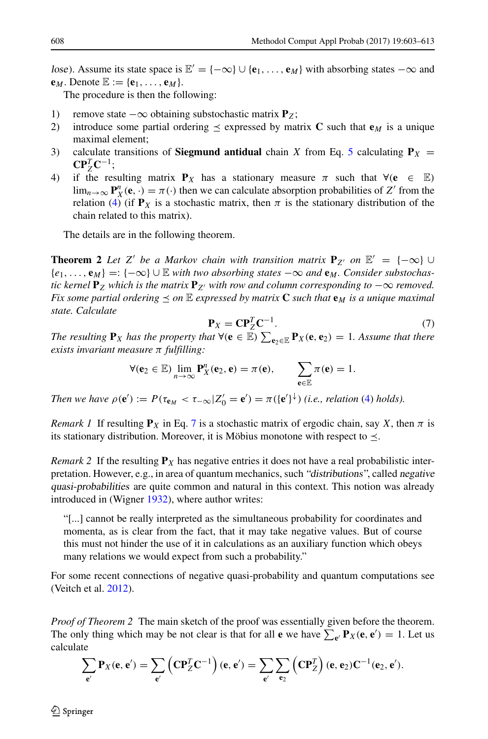lose). Assume its state space is  $\mathbb{E}' = \{-\infty\} \cup \{\mathbf{e}_1, \ldots, \mathbf{e}_M\}$  with absorbing states  $-\infty$  and  $\mathbf{e}_M$ . Denote  $\mathbb{E} := \{\mathbf{e}_1, \ldots, \mathbf{e}_M\}.$ 

The procedure is then the following:

- 1) remove state  $-\infty$  obtaining substochastic matrix **P**<sub>*Z*</sub>;<br>2) introduce some partial ordering  $\prec$  expressed by matrix
- introduce some partial ordering  $\leq$  expressed by matrix **C** such that **e**<sub>*M*</sub> is a unique maximal element;
- 3) calculate transitions of **Siegmund antidual** chain *X* from Eq. [5](#page-4-2) calculating  $P_X$  =  $CP^T_ZC^{-1}$ ;
- 4) if the resulting matrix  $P_X$  has a stationary measure  $\pi$  such that  $\forall (e \in E)$ lim<sub>*n*→∞</sub>  $\mathbf{P}_{X}^{n}(\mathbf{e}, \cdot) = \pi(\cdot)$  then we can calculate absorption probabilities of *Z'* from the relation [\(4\)](#page-4-3) (if  $P_X$  is a stochastic matrix, then  $\pi$  is the stationary distribution of the chain related to this matrix).

The details are in the following theorem.

**Theorem 2** Let *Z'* be a Markov chain with transition matrix  $P_{Z'}$  on  $E' = \{-\infty\} \cup$ {*e*1*,...,* **<sup>e</sup>***M*} =: {−∞} ∪ <sup>E</sup> *with two absorbing states* −∞ *and* **<sup>e</sup>***M. Consider substochastic kernel*  $P_Z$  *which is the matrix*  $P_{Z'}$  *with row and column corresponding to*  $-\infty$  *removed. Fix some partial ordering*  $\leq$  *on*  $\mathbb{E}$  *expressed by matrix* **C** *such that*  $\mathbf{e}_M$  *is a unique maximal state. Calculate*

<span id="page-5-0"></span>
$$
\mathbf{P}_X = \mathbf{C} \mathbf{P}_Z^T \mathbf{C}^{-1}.
$$
 (7)

*The resulting*  $P_X$  *has the property that*  $\forall (e \in \mathbb{E}) \sum_{e_2 \in \mathbb{E}} P_X(e, e_2) = 1$ *. Assume that there exists invariant measure π fulfilling:*

$$
\forall (\mathbf{e}_2 \in \mathbb{E}) \lim_{n \to \infty} \mathbf{P}_X^n(\mathbf{e}_2, \mathbf{e}) = \pi(\mathbf{e}), \qquad \sum_{\mathbf{e} \in \mathbb{E}} \pi(\mathbf{e}) = 1.
$$

*Then we have*  $\rho(\mathbf{e}') := P(\tau_{\mathbf{e}_M} < \tau_{-\infty} | Z'_0 = \mathbf{e}') = \pi(\{\mathbf{e}'\}^{\downarrow})$  *(i.e., relation [\(4\)](#page-4-3) holds).* 

*Remark 1* If resulting  $P_X$  in Eq. [7](#page-5-0) is a stochastic matrix of ergodic chain, say *X*, then  $\pi$  is its stationary distribution. Moreover, it is Möbius monotone with respect to  $\preceq$ .

*Remark* 2 If the resulting  $P_X$  has negative entries it does not have a real probabilistic interpretation. However, e.g., in area of quantum mechanics, such "distributions", called negative quasi-probabilities are quite common and natural in this context. This notion was already introduced in (Wigner [1932\)](#page-10-19), where author writes:

"[...] cannot be really interpreted as the simultaneous probability for coordinates and momenta, as is clear from the fact, that it may take negative values. But of course this must not hinder the use of it in calculations as an auxiliary function which obeys many relations we would expect from such a probability."

For some recent connections of negative quasi-probability and quantum computations see (Veitch et al. [2012\)](#page-10-20).

*Proof of Theorem 2* The main sketch of the proof was essentially given before the theorem. The only thing which may be not clear is that for all **e** we have  $\sum_{e'} P_X(e, e') = 1$ . Let us calculate

$$
\sum_{\mathbf{e}'} \mathbf{P}_X(\mathbf{e}, \mathbf{e}') = \sum_{\mathbf{e}'} \left( \mathbf{C} \mathbf{P}_Z^T \mathbf{C}^{-1} \right) (\mathbf{e}, \mathbf{e}') = \sum_{\mathbf{e}'} \sum_{\mathbf{e}_2} \left( \mathbf{C} \mathbf{P}_Z^T \right) (\mathbf{e}, \mathbf{e}_2) \mathbf{C}^{-1} (\mathbf{e}_2, \mathbf{e}').
$$

 $\mathcal{D}$  Springer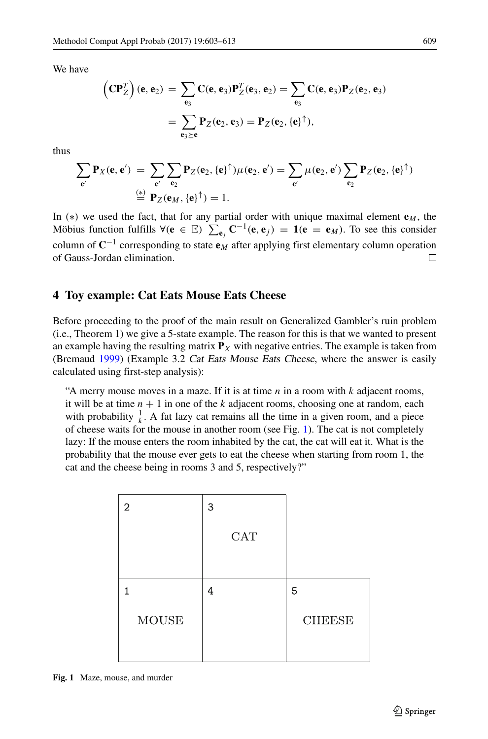We have

$$
\left(\mathbf{CP}_{Z}^{T}\right)(\mathbf{e}, \mathbf{e}_{2}) = \sum_{\mathbf{e}_{3}} \mathbf{C}(\mathbf{e}, \mathbf{e}_{3}) \mathbf{P}_{Z}^{T}(\mathbf{e}_{3}, \mathbf{e}_{2}) = \sum_{\mathbf{e}_{3}} \mathbf{C}(\mathbf{e}, \mathbf{e}_{3}) \mathbf{P}_{Z}(\mathbf{e}_{2}, \mathbf{e}_{3})
$$

$$
= \sum_{\mathbf{e}_{3} \succeq \mathbf{e}} \mathbf{P}_{Z}(\mathbf{e}_{2}, \mathbf{e}_{3}) = \mathbf{P}_{Z}(\mathbf{e}_{2}, {\{\mathbf{e}\}}^{\uparrow}),
$$

thus

$$
\sum_{\mathbf{e}'} \mathbf{P}_X(\mathbf{e}, \mathbf{e}') = \sum_{\mathbf{e}'} \sum_{\mathbf{e}_2} \mathbf{P}_Z(\mathbf{e}_2, \{\mathbf{e}\}^\uparrow) \mu(\mathbf{e}_2, \mathbf{e}') = \sum_{\mathbf{e}'} \mu(\mathbf{e}_2, \mathbf{e}') \sum_{\mathbf{e}_2} \mathbf{P}_Z(\mathbf{e}_2, \{\mathbf{e}\}^\uparrow)
$$
  
 
$$
\stackrel{(*)}{=} \mathbf{P}_Z(\mathbf{e}_M, \{\mathbf{e}\}^\uparrow) = 1.
$$

In *(*∗*)* we used the fact, that for any partial order with unique maximal element **e***M*, the Möbius function fulfills  $\forall (e \in \mathbb{E})$   $\sum_{e_j} C^{-1}(e, e_j) = 1(e = e_M)$ . To see this consider column of **C**−<sup>1</sup> corresponding to state **e***<sup>M</sup>* after applying first elementary column operation of Gauss-Jordan elimination.  $\Box$ 

### <span id="page-6-0"></span>**4 Toy example: Cat Eats Mouse Eats Cheese**

Before proceeding to the proof of the main result on Generalized Gambler's ruin problem (i.e., Theorem 1) we give a 5-state example. The reason for this is that we wanted to present an example having the resulting matrix  $P_X$  with negative entries. The example is taken from (Bremaud [1999\)](#page-9-11) (Example 3.2 Cat Eats Mouse Eats Cheese, where the answer is easily calculated using first-step analysis):

"A merry mouse moves in a maze. If it is at time *n* in a room with *k* adjacent rooms, it will be at time  $n + 1$  in one of the  $k$  adjacent rooms, choosing one at random, each with probability  $\frac{1}{k}$ . A fat lazy cat remains all the time in a given room, and a piece of cheese waits for the mouse in another room (see Fig. [1\)](#page-6-1). The cat is not completely lazy: If the mouse enters the room inhabited by the cat, the cat will eat it. What is the probability that the mouse ever gets to eat the cheese when starting from room 1, the cat and the cheese being in rooms 3 and 5, respectively?"

<span id="page-6-1"></span>

| 2            | 3   |               |
|--------------|-----|---------------|
|              | CAT |               |
|              |     |               |
| 1            | 4   | 5             |
| <b>MOUSE</b> |     | <b>CHEESE</b> |
|              |     |               |

**Fig. 1** Maze, mouse, and murder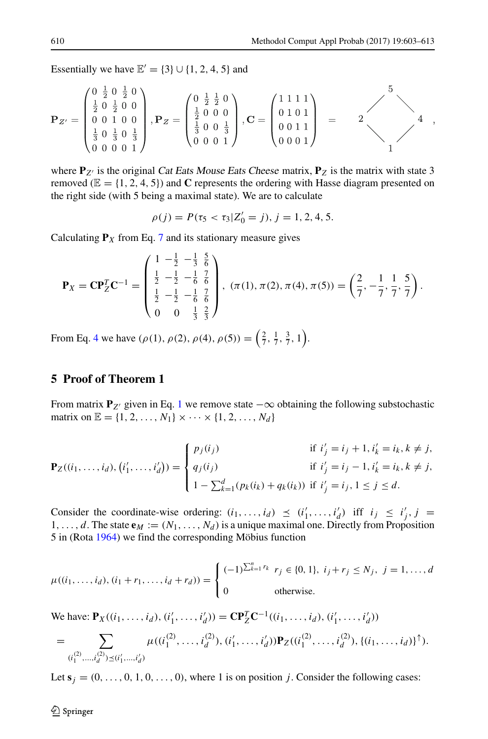Essentially we have  $\mathbb{E}' = \{3\} \cup \{1, 2, 4, 5\}$  and

$$
\mathbf{P}_{Z'} = \begin{pmatrix} 0 & \frac{1}{2} & 0 & \frac{1}{2} & 0 \\ \frac{1}{2} & 0 & \frac{1}{2} & 0 & 0 \\ 0 & 0 & 1 & 0 & 0 \\ \frac{1}{3} & 0 & \frac{1}{3} & 0 & \frac{1}{3} \\ 0 & 0 & 0 & 0 & 1 \end{pmatrix}, \mathbf{P}_{Z} = \begin{pmatrix} 0 & \frac{1}{2} & \frac{1}{2} & 0 \\ \frac{1}{2} & 0 & 0 & 0 \\ \frac{1}{3} & 0 & 0 & \frac{1}{3} \\ 0 & 0 & 0 & 1 \end{pmatrix}, \mathbf{C} = \begin{pmatrix} 1 & 1 & 1 & 1 \\ 0 & 1 & 0 & 1 \\ 0 & 0 & 1 & 1 \\ 0 & 0 & 0 & 1 \end{pmatrix} = 2 \begin{pmatrix} 5 \\ 2 \\ 0 \\ 0 \\ 1 \end{pmatrix},
$$

where  $P_{Z'}$  is the original Cat Eats Mouse Eats Cheese matrix,  $P_Z$  is the matrix with state 3 removed ( $\mathbb{E} = \{1, 2, 4, 5\}$ ) and **C** represents the ordering with Hasse diagram presented on the right side (with 5 being a maximal state). We are to calculate

$$
\rho(j) = P(\tau_5 < \tau_3 | Z'_0 = j), j = 1, 2, 4, 5.
$$

Calculating  $P_X$  from Eq. [7](#page-5-0) and its stationary measure gives

$$
\mathbf{P}_X = \mathbf{C} \mathbf{P}_Z^T \mathbf{C}^{-1} = \begin{pmatrix} 1 & -\frac{1}{2} & -\frac{1}{3} & \frac{5}{6} \\ \frac{1}{2} & -\frac{1}{2} & -\frac{1}{6} & \frac{7}{6} \\ \frac{1}{2} & -\frac{1}{2} & -\frac{1}{6} & \frac{7}{6} \\ 0 & 0 & \frac{1}{3} & \frac{2}{3} \end{pmatrix}, (\pi(1), \pi(2), \pi(4), \pi(5)) = \left(\frac{2}{7}, -\frac{1}{7}, \frac{1}{7}, \frac{5}{7}\right).
$$

From Eq. [4](#page-4-3) we have  $(\rho(1), \rho(2), \rho(4), \rho(5)) = \left(\frac{2}{7}, \frac{1}{7}, \frac{3}{7}, 1\right)$ .

# <span id="page-7-0"></span>**5 Proof of Theorem 1**

From matrix  $P_{Z'}$  given in Eq. [1](#page-2-1) we remove state  $-\infty$  obtaining the following substochastic matrix on  $\mathbb{E} = \{1, 2, ..., N_1\} \times \cdots \times \{1, 2, ..., N_d\}$ 

$$
\mathbf{P}_Z((i_1,\ldots,i_d), (i'_1,\ldots,i'_d)) = \begin{cases} p_j(i_j) & \text{if } i'_j = i_j + 1, i'_k = i_k, k \neq j, \\ q_j(i_j) & \text{if } i'_j = i_j - 1, i'_k = i_k, k \neq j, \\ 1 - \sum_{k=1}^d (p_k(i_k) + q_k(i_k)) & \text{if } i'_j = i_j, 1 \leq j \leq d. \end{cases}
$$

Consider the coordinate-wise ordering:  $(i_1, \ldots, i_d) \preceq (i'_1, \ldots, i'_d)$  iff  $i_j \preceq i'_j, j =$ 1,..., d. The state  $\mathbf{e}_M := (N_1, \ldots, N_d)$  is a unique maximal one. Directly from Proposition  $5$  in (Rota [1964\)](#page-10-21) we find the corresponding Möbius function

$$
\mu((i_1, \ldots, i_d), (i_1 + r_1, \ldots, i_d + r_d)) = \begin{cases} (-1)^{\sum_{k=1}^n r_k} & r_j \in \{0, 1\}, \ i_j + r_j \le N_j, \ j = 1, \ldots, d \\ 0 & \text{otherwise.} \end{cases}
$$

We have:  $\mathbf{P}_X((i_1, \ldots, i_d), (i'_1, \ldots, i'_d)) = \mathbf{C} \mathbf{P}_Z^T \mathbf{C}^{-1}((i_1, \ldots, i_d), (i'_1, \ldots, i'_d))$ 

$$
= \sum_{(i_1^{(2)},...,i_d^{(2)}) \leq (i'_1,...,i'_d)} \mu((i_1^{(2)},...,i_d^{(2)}),(i'_1,...,i'_d)) \mathbf{P}_Z((i_1^{(2)},...,i_d^{(2)}),\{(i_1,...,i_d)\}^{\uparrow}).
$$

Let  $s_j = (0, \ldots, 0, 1, 0, \ldots, 0)$ , where 1 is on position *j*. Consider the following cases: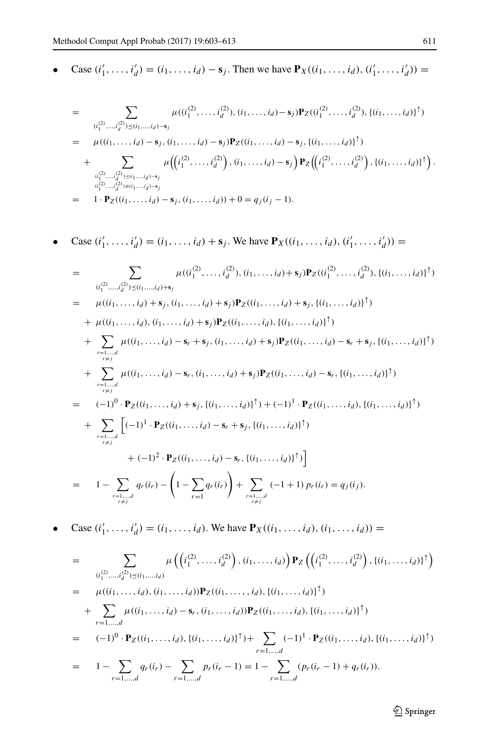• Case  $(i'_1, ..., i'_d) = (i_1, ..., i_d) - s_j$ . Then we have  $P_X((i_1, ..., i_d), (i'_1, ..., i'_d)) =$ 

$$
= \sum_{\substack{(i_1^{(2)},...,i_d^{(2)}) \leq (i_1,...,i_d)-s_j}} \mu((i_1^{(2)},...,i_d^{(2)}), (i_1,...,i_d)-s_j) \mathbf{P}_Z((i_1^{(2)},...,i_d^{(2)}), \{(i_1,...,i_d)\}^{\uparrow})
$$
  
\n
$$
= \mu((i_1,...,i_d)-s_j, (i_1,...,i_d)-s_j) \mathbf{P}_Z((i_1,...,i_d)-s_j, \{(i_1,...,i_d)\}^{\uparrow})
$$
  
\n
$$
+ \sum_{\substack{(i_1^{(2)},...,i_d^{(2)}) \leq (i_1,...,i_d)-s_j \\ (i_1^{(2)},...,i_d^{(2)}) \neq (i_1,...,i_d)-s_j}} \mu((i_1^{(2)},...,i_d^{(2)}), (i_1,...,i_d)-s_j) \mathbf{P}_Z((i_1^{(2)},...,i_d^{(2)}), \{(i_1,...,i_d)\}^{\uparrow}).
$$
  
\n
$$
= 1 \cdot \mathbf{P}_Z((i_1,...,i_d)-s_j, (i_1,...,i_d)) + 0 = q_j(i_j - 1).
$$

• Case 
$$
(i'_1, ..., i'_d) = (i_1, ..., i_d) + s_j
$$
. We have  $P_X((i_1, ..., i_d), (i'_1, ..., i'_d)) =$ 

$$
= \sum_{\substack{(i_1^{(2)},...,i_d^{(2)}) \leq (i_1,...,i_d)+s_j \\ \mu((i_1^{(2)},...,i_d^{(2)}), (i_1,...,i_d)+s_j) \\ \mu((i_1,...,i_d)+s_j,(i_1,...,i_d)+s_j)P_Z((i_1,...,i_d)+s_j,(i_1,...,i_d))^\uparrow) \\ \mu((i_1,...,i_d),(i_1,...,i_d)+s_j)P_Z((i_1,...,i_d),(i_1,...,i_d))^\uparrow) \\ + \sum_{\substack{r=1,...,d \\ r \neq j \\ r \neq j}} \mu((i_1,...,i_d)-s_r+s_j,(i_1,...,i_d)+s_j)P_Z((i_1,...,i_d)-s_r+s_j,(i_1,...,i_d))^\uparrow) \\ + \sum_{\substack{r=1,...,d \\ r \neq j \\ r \neq j}} \mu((i_1,...,i_d)-s_r,(i_1,...,i_d)+s_j)P_Z((i_1,...,i_d)-s_r,(i_1,...,i_d))^\uparrow) \\ = (-1)^0 \cdot P_Z((i_1,...,i_d)+s_j,(i_1,...,i_d))^\uparrow) + (-1)^1 \cdot P_Z((i_1,...,i_d),(i_1,...,i_d))^\uparrow) \\ + \sum_{\substack{r=1,...,d \\ r \neq j}} \left[ (-1)^1 \cdot P_Z((i_1,...,i_d)-s_r+s_j,(i_1,...,i_d))^\uparrow) \\ + (-1)^2 \cdot P_Z((i_1,...,i_d)-s_r,(i_1,...,i_d))^\uparrow) \right] \\ + (-1)^2 \cdot P_Z((i_1,...,i_d)-s_r,(i_1,...,i_d))^\uparrow) \right]
$$
\n
$$
= 1 - \sum_{\substack{r=1,...,d \\ r \neq j}} q_r(i_r) - \left(1 - \sum_{r=1} q_r(i_r) + \sum_{\substack{r=1,...,d \\ r \neq j}} (-1+1) p_r(i_r) = q_j(i_j).
$$

• Case 
$$
(i'_1, ..., i'_d) = (i_1, ..., i_d)
$$
. We have  $P_X((i_1, ..., i_d), (i_1, ..., i_d)) =$ 

$$
= \sum_{\substack{(i_1^{(2)},\ldots,i_d^{(2)}) \leq (i_1,\ldots,i_d) \\ \vdots \\ \mu((i_1,\ldots,i_d), (i_1,\ldots,i_d)) \\ \vdots \\ \mu((i_1,\ldots,i_d), (i_1,\ldots,i_d)) \\ P_Z((i_1,\ldots,i_d), \{(i_1,\ldots,i_d)\}^{\uparrow})}} \mu((i_1,\ldots,i_d), (i_1,\ldots,i_d), \{(i_1,\ldots,i_d)\}^{\uparrow})
$$
\n
$$
+ \sum_{r=1,\ldots,d} \mu((i_1,\ldots,i_d) - s_r, (i_1,\ldots,i_d)) P_Z((i_1,\ldots,i_d), \{(i_1,\ldots,i_d)\}^{\uparrow})
$$
\n
$$
= (-1)^0 \cdot P_Z((i_1,\ldots,i_d), \{(i_1,\ldots,i_d)\}^{\uparrow}) + \sum_{r=1,\ldots,d} (-1)^1 \cdot P_Z((i_1,\ldots,i_d), \{(i_1,\ldots,i_d)\}^{\uparrow})
$$
\n
$$
= 1 - \sum_{r=1,\ldots,d} q_r(i_r) - \sum_{r=1,\ldots,d} p_r(i_r - 1) = 1 - \sum_{r=1,\ldots,d} (p_r(i_r - 1) + q_r(i_r)).
$$

2 Springer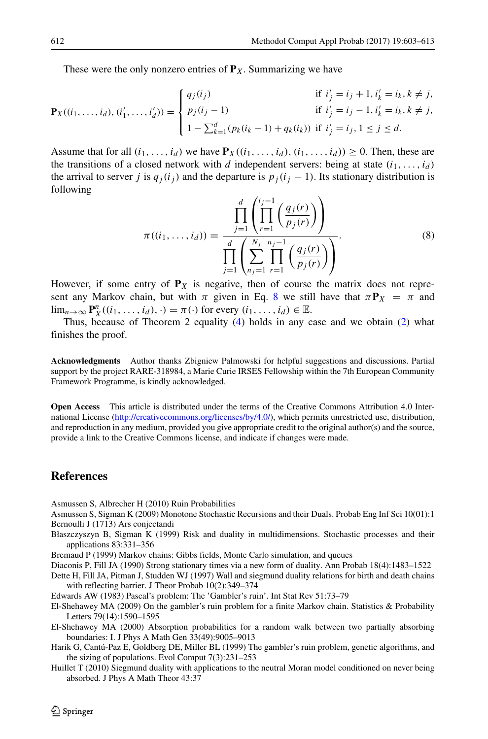These were the only nonzero entries of  $P_X$ . Summarizing we have

$$
\mathbf{P}_X((i_1,\ldots,i_d), (i'_1,\ldots,i'_d)) = \begin{cases} q_j(i_j) & \text{if } i'_j = i_j + 1, i'_k = i_k, k \neq j, \\ p_j(i_j - 1) & \text{if } i'_j = i_j - 1, i'_k = i_k, k \neq j, \\ 1 - \sum_{k=1}^d (p_k(i_k - 1) + q_k(i_k)) & \text{if } i'_j = i_j, 1 \leq j \leq d. \end{cases}
$$

Assume that for all  $(i_1, \ldots, i_d)$  we have  $\mathbf{P}_X((i_1, \ldots, i_d), (i_1, \ldots, i_d)) \geq 0$ . Then, these are the transitions of a closed network with *d* independent servers: being at state  $(i_1, \ldots, i_d)$ the arrival to server *j* is  $q_j(i_j)$  and the departure is  $p_j(i_j - 1)$ . Its stationary distribution is following

<span id="page-9-12"></span>
$$
\pi((i_1, ..., i_d)) = \frac{\prod_{j=1}^d \left( \prod_{r=1}^{i_j - 1} \left( \frac{q_j(r)}{p_j(r)} \right) \right)}{\prod_{j=1}^d \left( \sum_{n_j=1}^{N_j} \prod_{r=1}^{n_j - 1} \left( \frac{q_j(r)}{p_j(r)} \right) \right)}.
$$
\n(8)

However, if some entry of  $P_X$  is negative, then of course the matrix does not represent any Markov chain, but with  $\pi$  given in Eq. [8](#page-9-12) we still have that  $\pi P_X = \pi$  and lim<sub>n→∞</sub>  $\mathbf{P}_X^n((i_1, \ldots, i_d), \cdot) = \pi(\cdot)$  for every  $(i_1, \ldots, i_d) \in \mathbb{E}$ .

Thus, because of Theorem 2 equality [\(4\)](#page-4-3) holds in any case and we obtain [\(2\)](#page-3-0) what finishes the proof.

**Acknowledgments** Author thanks Zbigniew Palmowski for helpful suggestions and discussions. Partial support by the project RARE-318984, a Marie Curie IRSES Fellowship within the 7th European Community Framework Programme, is kindly acknowledged.

**Open Access** This article is distributed under the terms of the Creative Commons Attribution 4.0 International License [\(http://creativecommons.org/licenses/by/4.0/\)](http://creativecommons.org/licenses/by/4.0/), which permits unrestricted use, distribution, and reproduction in any medium, provided you give appropriate credit to the original author(s) and the source, provide a link to the Creative Commons license, and indicate if changes were made.

## **References**

<span id="page-9-2"></span>Asmussen S, Albrecher H (2010) Ruin Probabilities

- <span id="page-9-6"></span>Asmussen S, Sigman K (2009) Monotone Stochastic Recursions and their Duals. Probab Eng Inf Sci 10(01):1 Bernoulli J (1713) Ars conjectandi
- <span id="page-9-10"></span><span id="page-9-5"></span>Błaszczyszyn B, Sigman K (1999) Risk and duality in multidimensions. Stochastic processes and their applications 83:331–356

<span id="page-9-11"></span>Bremaud P (1999) Markov chains: Gibbs fields, Monte Carlo simulation, and queues

<span id="page-9-7"></span>Diaconis P, Fill JA (1990) Strong stationary times via a new form of duality. Ann Probab 18(4):1483–1522

<span id="page-9-8"></span>Dette H, Fill JA, Pitman J, Studden WJ (1997) Wall and siegmund duality relations for birth and death chains with reflecting barrier. J Theor Probab 10(2):349–374

<span id="page-9-4"></span>Edwards AW (1983) Pascal's problem: The 'Gambler's ruin'. Int Stat Rev 51:73–79

- <span id="page-9-3"></span>El-Shehawey MA (2009) On the gambler's ruin problem for a finite Markov chain. Statistics & Probability Letters 79(14):1590–1595
- <span id="page-9-0"></span>El-Shehawey MA (2000) Absorption probabilities for a random walk between two partially absorbing boundaries: I. J Phys A Math Gen 33(49):9005–9013
- <span id="page-9-1"></span>Harik G, Cantú-Paz E, Goldberg DE, Miller BL (1999) The gambler's ruin problem, genetic algorithms, and the sizing of populations. Evol Comput 7(3):231–253
- <span id="page-9-9"></span>Huillet T (2010) Siegmund duality with applications to the neutral Moran model conditioned on never being absorbed. J Phys A Math Theor 43:37